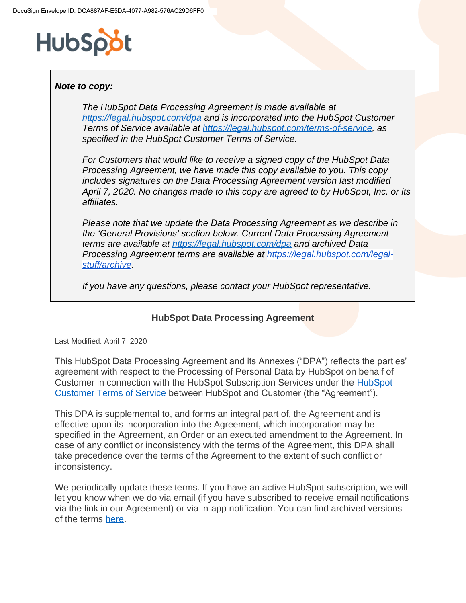# HubSpot

#### *Note to copy:*

*The HubSpot Data Processing Agreement is made available at <https://legal.hubspot.com/dpa> and is incorporated into the HubSpot Customer Terms of Service available at [https://legal.hubspot.com/terms-of-service,](https://legal.hubspot.com/terms-of-service) as specified in the HubSpot Customer Terms of Service.* 

*For Customers that would like to receive a signed copy of the HubSpot Data Processing Agreement, we have made this copy available to you. This copy includes signatures on the Data Processing Agreement version last modified April 7, 2020. No changes made to this copy are agreed to by HubSpot, Inc. or its affiliates.*

*Please note that we update the Data Processing Agreement as we describe in the 'General Provisions' section below. Current Data Processing Agreement terms are available at<https://legal.hubspot.com/dpa> and archived Data Processing Agreement terms are available at [https://legal.hubspot.com/legal](https://legal.hubspot.com/legal-stuff/archive)[stuff/archive](https://legal.hubspot.com/legal-stuff/archive).*

*If you have any questions, please contact your HubSpot representative.*

# **HubSpot Data Processing Agreement**

Last Modified: April 7, 2020

This HubSpot Data Processing Agreement and its Annexes ("DPA") reflects the parties' agreement with respect to the Processing of Personal Data by HubSpot on behalf of Customer in connection with the HubSpot Subscription Services under the [HubSpot](https://legal.hubspot.com/terms-of-service?hsLang=fr)  [Customer Terms of Service](https://legal.hubspot.com/terms-of-service?hsLang=fr) between HubSpot and Customer (the "Agreement").

This DPA is supplemental to, and forms an integral part of, the Agreement and is effective upon its incorporation into the Agreement, which incorporation may be specified in the Agreement, an Order or an executed amendment to the Agreement. In case of any conflict or inconsistency with the terms of the Agreement, this DPA shall take precedence over the terms of the Agreement to the extent of such conflict or inconsistency.

We periodically update these terms. If you have an active HubSpot subscription, we will let you know when we do via email (if you have subscribed to receive email notifications via the link in our Agreement) or via in-app notification. You can find archived versions of the terms [here.](https://legal.hubspot.com/legal-stuff/archive)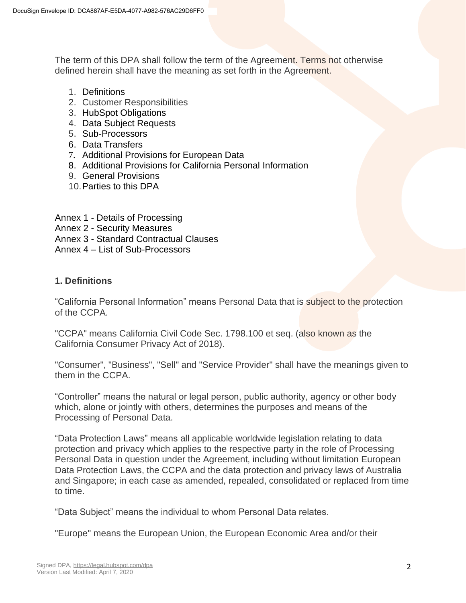The term of this DPA shall follow the term of the Agreement. Terms not otherwise defined herein shall have the meaning as set forth in the Agreement.

- 1. Definitions
- 2. Customer Responsibilities
- 3. HubSpot Obligations
- 4. Data Subject Requests
- 5. Sub-Processors
- 6. Data Transfers
- 7. Additional Provisions for European Data
- 8. Additional Provisions for California Personal Information
- 9. General Provisions
- 10.Parties to this DPA
- Annex 1 Details of Processing
- Annex 2 Security Measures
- Annex 3 Standard Contractual Clauses
- Annex 4 List of Sub-Processors

#### **1. Definitions**

"California Personal Information" means Personal Data that is subject to the protection of the CCPA.

"CCPA" means California Civil Code Sec. 1798.100 et seq. (also known as the California Consumer Privacy Act of 2018).

"Consumer", "Business", "Sell" and "Service Provider" shall have the meanings given to them in the CCPA.

"Controller" means the natural or legal person, public authority, agency or other body which, alone or jointly with others, determines the purposes and means of the Processing of Personal Data.

"Data Protection Laws" means all applicable worldwide legislation relating to data protection and privacy which applies to the respective party in the role of Processing Personal Data in question under the Agreement, including without limitation European Data Protection Laws, the CCPA and the data protection and privacy laws of Australia and Singapore; in each case as amended, repealed, consolidated or replaced from time to time.

"Data Subject" means the individual to whom Personal Data relates.

"Europe" means the European Union, the European Economic Area and/or their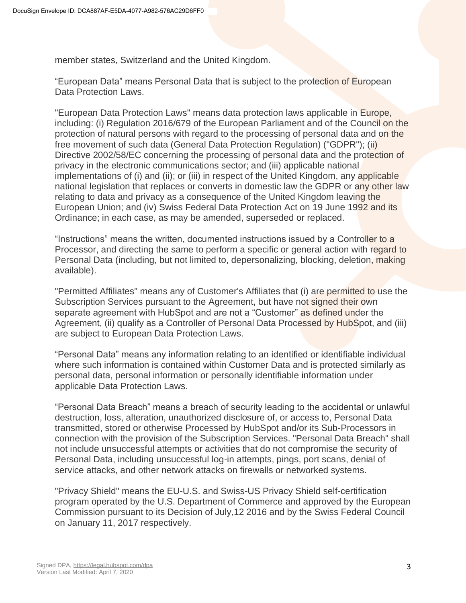member states, Switzerland and the United Kingdom.

"European Data" means Personal Data that is subject to the protection of European Data Protection Laws.

"European Data Protection Laws" means data protection laws applicable in Europe, including: (i) Regulation 2016/679 of the European Parliament and of the Council on the protection of natural persons with regard to the processing of personal data and on the free movement of such data (General Data Protection Regulation) ("GDPR"); (ii) Directive 2002/58/EC concerning the processing of personal data and the protection of privacy in the electronic communications sector; and (iii) applicable national implementations of (i) and (ii); or (iii) in respect of the United Kingdom, any applicable national legislation that replaces or converts in domestic law the GDPR or any other law relating to data and privacy as a consequence of the United Kingdom leaving the European Union; and (iv) Swiss Federal Data Protection Act on 19 June 1992 and its Ordinance; in each case, as may be amended, superseded or replaced.

"Instructions" means the written, documented instructions issued by a Controller to a Processor, and directing the same to perform a specific or general action with regard to Personal Data (including, but not limited to, depersonalizing, blocking, deletion, making available).

"Permitted Affiliates" means any of Customer's Affiliates that (i) are permitted to use the Subscription Services pursuant to the Agreement, but have not signed their own separate agreement with HubSpot and are not a "Customer" as defined under the Agreement, (ii) qualify as a Controller of Personal Data Processed by HubSpot, and (iii) are subject to European Data Protection Laws.

"Personal Data" means any information relating to an identified or identifiable individual where such information is contained within Customer Data and is protected similarly as personal data, personal information or personally identifiable information under applicable Data Protection Laws.

"Personal Data Breach" means a breach of security leading to the accidental or unlawful destruction, loss, alteration, unauthorized disclosure of, or access to, Personal Data transmitted, stored or otherwise Processed by HubSpot and/or its Sub-Processors in connection with the provision of the Subscription Services. "Personal Data Breach" shall not include unsuccessful attempts or activities that do not compromise the security of Personal Data, including unsuccessful log-in attempts, pings, port scans, denial of service attacks, and other network attacks on firewalls or networked systems.

"Privacy Shield" means the EU-U.S. and Swiss-US Privacy Shield self-certification program operated by the U.S. Department of Commerce and approved by the European Commission pursuant to its Decision of July,12 2016 and by the Swiss Federal Council on January 11, 2017 respectively.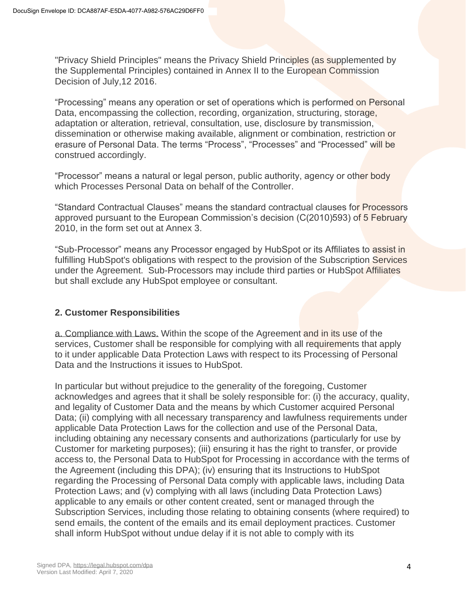"Privacy Shield Principles" means the Privacy Shield Principles (as supplemented by the Supplemental Principles) contained in Annex II to the European Commission Decision of July,12 2016.

"Processing" means any operation or set of operations which is performed on Personal Data, encompassing the collection, recording, organization, structuring, storage, adaptation or alteration, retrieval, consultation, use, disclosure by transmission, dissemination or otherwise making available, alignment or combination, restriction or erasure of Personal Data. The terms "Process", "Processes" and "Processed" will be construed accordingly.

"Processor" means a natural or legal person, public authority, agency or other body which Processes Personal Data on behalf of the Controller.

"Standard Contractual Clauses" means the standard contractual clauses for Processors approved pursuant to the European Commission's decision (C(2010)593) of 5 February 2010, in the form set out at Annex 3.

"Sub-Processor" means any Processor engaged by HubSpot or its Affiliates to assist in fulfilling HubSpot's obligations with respect to the provision of the Subscription Services under the Agreement. Sub-Processors may include third parties or HubSpot Affiliates but shall exclude any HubSpot employee or consultant.

# **2. Customer Responsibilities**

a. Compliance with Laws. Within the scope of the Agreement and in its use of the services, Customer shall be responsible for complying with all requirements that apply to it under applicable Data Protection Laws with respect to its Processing of Personal Data and the Instructions it issues to HubSpot.

In particular but without prejudice to the generality of the foregoing, Customer acknowledges and agrees that it shall be solely responsible for: (i) the accuracy, quality, and legality of Customer Data and the means by which Customer acquired Personal Data; (ii) complying with all necessary transparency and lawfulness requirements under applicable Data Protection Laws for the collection and use of the Personal Data, including obtaining any necessary consents and authorizations (particularly for use by Customer for marketing purposes); (iii) ensuring it has the right to transfer, or provide access to, the Personal Data to HubSpot for Processing in accordance with the terms of the Agreement (including this DPA); (iv) ensuring that its Instructions to HubSpot regarding the Processing of Personal Data comply with applicable laws, including Data Protection Laws; and (v) complying with all laws (including Data Protection Laws) applicable to any emails or other content created, sent or managed through the Subscription Services, including those relating to obtaining consents (where required) to send emails, the content of the emails and its email deployment practices. Customer shall inform HubSpot without undue delay if it is not able to comply with its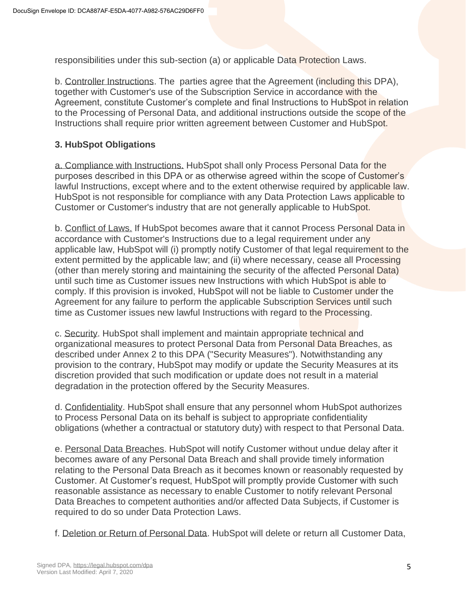responsibilities under this sub-section (a) or applicable Data Protection Laws.

b. Controller Instructions. The parties agree that the Agreement (including this DPA), together with Customer's use of the Subscription Service in accordance with the Agreement, constitute Customer's complete and final Instructions to HubSpot in relation to the Processing of Personal Data, and additional instructions outside the scope of the Instructions shall require prior written agreement between Customer and HubSpot.

# **3. HubSpot Obligations**

a. Compliance with Instructions. HubSpot shall only Process Personal Data for the purposes described in this DPA or as otherwise agreed within the scope of Customer's lawful Instructions, except where and to the extent otherwise required by applicable law. HubSpot is not responsible for compliance with any Data Protection Laws applicable to Customer or Customer's industry that are not generally applicable to HubSpot.

b. Conflict of Laws. If HubSpot becomes aware that it cannot Process Personal Data in accordance with Customer's Instructions due to a legal requirement under any applicable law, HubSpot will (i) promptly notify Customer of that legal requirement to the extent permitted by the applicable law; and (ii) where necessary, cease all Processing (other than merely storing and maintaining the security of the affected Personal Data) until such time as Customer issues new Instructions with which HubSpot is able to comply. If this provision is invoked, HubSpot will not be liable to Customer under the Agreement for any failure to perform the applicable Subscription Services until such time as Customer issues new lawful Instructions with regard to the Processing.

c. Security. HubSpot shall implement and maintain appropriate technical and organizational measures to protect Personal Data from Personal Data Breaches, as described under Annex 2 to this DPA ("Security Measures"). Notwithstanding any provision to the contrary, HubSpot may modify or update the Security Measures at its discretion provided that such modification or update does not result in a material degradation in the protection offered by the Security Measures.

d. Confidentiality. HubSpot shall ensure that any personnel whom HubSpot authorizes to Process Personal Data on its behalf is subject to appropriate confidentiality obligations (whether a contractual or statutory duty) with respect to that Personal Data.

e. Personal Data Breaches. HubSpot will notify Customer without undue delay after it becomes aware of any Personal Data Breach and shall provide timely information relating to the Personal Data Breach as it becomes known or reasonably requested by Customer. At Customer's request, HubSpot will promptly provide Customer with such reasonable assistance as necessary to enable Customer to notify relevant Personal Data Breaches to competent authorities and/or affected Data Subjects, if Customer is required to do so under Data Protection Laws.

f. Deletion or Return of Personal Data. HubSpot will delete or return all Customer Data,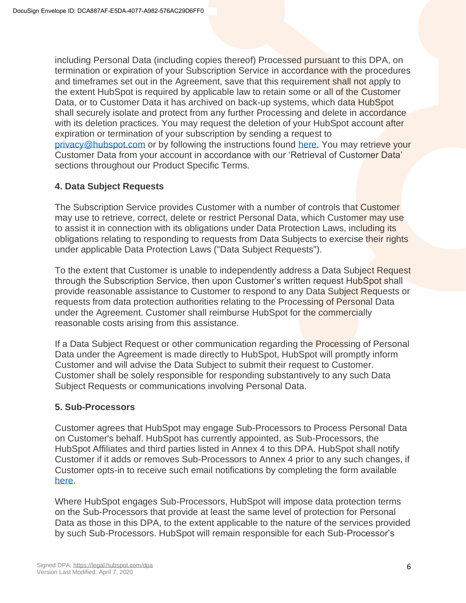including Personal Data (including copies thereof) Processed pursuant to this DPA, on termination or expiration of your Subscription Service in accordance with the procedures and timeframes set out in the Agreement, save that this requirement shall not apply to the extent HubSpot is required by applicable law to retain some or all of the Customer Data, or to Customer Data it has archived on back-up systems, which data HubSpot shall securely isolate and protect from any further Processing and delete in accordance with its deletion practices. You may request the deletion of your HubSpot account after expiration or termination of your subscription by sending a request to [privacy@hubspot.com](mailto:privacy@hubspot.com) or by following the instructions found [here.](https://knowledge.hubspot.com/account/how-do-i-cancel-my-hubspot-account) You may retrieve your Customer Data from your account in accordance with our 'Retrieval of Customer Data' sections throughout our Product Specific Terms.

# **4. Data Subject Requests**

The Subscription Service provides Customer with a number of controls that Customer may use to retrieve, correct, delete or restrict Personal Data, which Customer may use to assist it in connection with its obligations under Data Protection Laws, including its obligations relating to responding to requests from Data Subjects to exercise their rights under applicable Data Protection Laws ("Data Subject Requests").

To the extent that Customer is unable to independently address a Data Subject Request through the Subscription Service, then upon Customer's written request HubSpot shall provide reasonable assistance to Customer to respond to any Data Subject Requests or requests from data protection authorities relating to the Processing of Personal Data under the Agreement. Customer shall reimburse HubSpot for the commercially reasonable costs arising from this assistance.

If a Data Subject Request or other communication regarding the Processing of Personal Data under the Agreement is made directly to HubSpot, HubSpot will promptly inform Customer and will advise the Data Subject to submit their request to Customer. Customer shall be solely responsible for responding substantively to any such Data Subject Requests or communications involving Personal Data.

#### **5. Sub-Processors**

Customer agrees that HubSpot may engage Sub-Processors to Process Personal Data on Customer's behalf. HubSpot has currently appointed, as Sub-Processors, the HubSpot Affiliates and third parties listed in Annex 4 to this DPA. HubSpot shall notify Customer if it adds or removes Sub-Processors to Annex 4 prior to any such changes, if Customer opts-in to receive such email notifications by completing the form available [here.](https://legal.hubspot.com/subscribe-subprocessor-updates?hsLang=fr)

Where HubSpot engages Sub-Processors, HubSpot will impose data protection terms on the Sub-Processors that provide at least the same level of protection for Personal Data as those in this DPA, to the extent applicable to the nature of the services provided by such Sub-Processors. HubSpot will remain responsible for each Sub-Processor's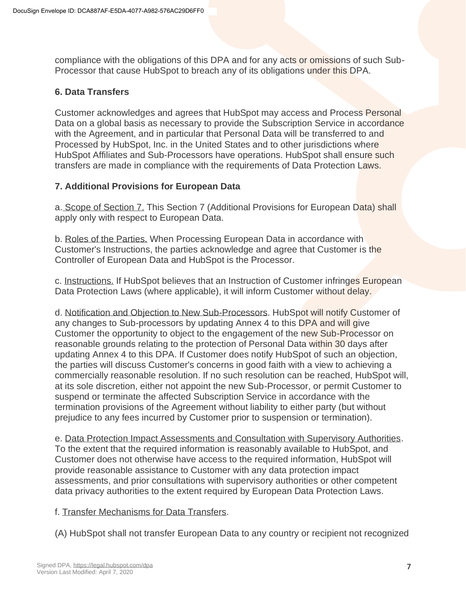compliance with the obligations of this DPA and for any acts or omissions of such Sub-Processor that cause HubSpot to breach any of its obligations under this DPA.

# **6. Data Transfers**

Customer acknowledges and agrees that HubSpot may access and Process Personal Data on a global basis as necessary to provide the Subscription Service in accordance with the Agreement, and in particular that Personal Data will be transferred to and Processed by HubSpot, Inc. in the United States and to other jurisdictions where HubSpot Affiliates and Sub-Processors have operations. HubSpot shall ensure such transfers are made in compliance with the requirements of Data Protection Laws.

# **7. Additional Provisions for European Data**

a. Scope of Section 7. This Section 7 (Additional Provisions for European Data) shall apply only with respect to European Data.

b. Roles of the Parties. When Processing European Data in accordance with Customer's Instructions, the parties acknowledge and agree that Customer is the Controller of European Data and HubSpot is the Processor.

c. Instructions. If HubSpot believes that an Instruction of Customer infringes European Data Protection Laws (where applicable), it will inform Customer without delay.

d. Notification and Objection to New Sub-Processors. HubSpot will notify Customer of any changes to Sub-processors by updating Annex 4 to this DPA and will give Customer the opportunity to object to the engagement of the new Sub-Processor on reasonable grounds relating to the protection of Personal Data within 30 days after updating Annex 4 to this DPA. If Customer does notify HubSpot of such an objection, the parties will discuss Customer's concerns in good faith with a view to achieving a commercially reasonable resolution. If no such resolution can be reached, HubSpot will, at its sole discretion, either not appoint the new Sub-Processor, or permit Customer to suspend or terminate the affected Subscription Service in accordance with the termination provisions of the Agreement without liability to either party (but without prejudice to any fees incurred by Customer prior to suspension or termination).

e. Data Protection Impact Assessments and Consultation with Supervisory Authorities. To the extent that the required information is reasonably available to HubSpot, and Customer does not otherwise have access to the required information, HubSpot will provide reasonable assistance to Customer with any data protection impact assessments, and prior consultations with supervisory authorities or other competent data privacy authorities to the extent required by European Data Protection Laws.

# f. Transfer Mechanisms for Data Transfers.

(A) HubSpot shall not transfer European Data to any country or recipient not recognized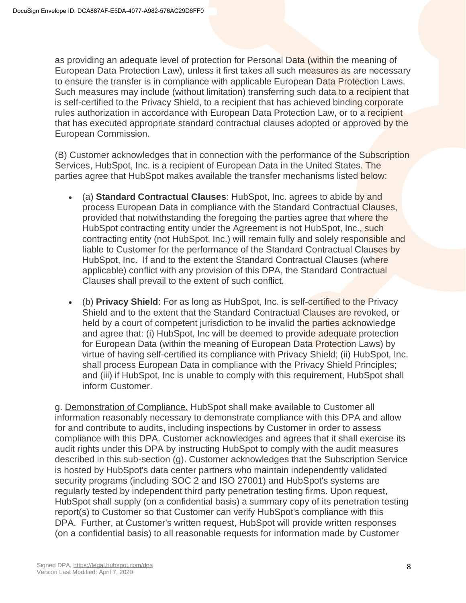as providing an adequate level of protection for Personal Data (within the meaning of European Data Protection Law), unless it first takes all such measures as are necessary to ensure the transfer is in compliance with applicable European Data Protection Laws. Such measures may include (without limitation) transferring such data to a recipient that is self-certified to the Privacy Shield, to a recipient that has achieved binding corporate rules authorization in accordance with European Data Protection Law, or to a recipient that has executed appropriate standard contractual clauses adopted or approved by the European Commission.

(B) Customer acknowledges that in connection with the performance of the Subscription Services, HubSpot, Inc. is a recipient of European Data in the United States. The parties agree that HubSpot makes available the transfer mechanisms listed below:

- (a) **Standard Contractual Clauses**: HubSpot, Inc. agrees to abide by and process European Data in compliance with the Standard Contractual Clauses, provided that notwithstanding the foregoing the parties agree that where the HubSpot contracting entity under the Agreement is not HubSpot, Inc., such contracting entity (not HubSpot, Inc.) will remain fully and solely responsible and liable to Customer for the performance of the Standard Contractual Clauses by HubSpot, Inc. If and to the extent the Standard Contractual Clauses (where applicable) conflict with any provision of this DPA, the Standard Contractual Clauses shall prevail to the extent of such conflict.
- (b) **Privacy Shield**: For as long as HubSpot, Inc. is self-certified to the Privacy Shield and to the extent that the Standard Contractual Clauses are revoked, or held by a court of competent jurisdiction to be invalid the parties acknowledge and agree that: (i) HubSpot, Inc will be deemed to provide adequate protection for European Data (within the meaning of European Data Protection Laws) by virtue of having self-certified its compliance with Privacy Shield; (ii) HubSpot, Inc. shall process European Data in compliance with the Privacy Shield Principles; and (iii) if HubSpot, Inc is unable to comply with this requirement, HubSpot shall inform Customer.

g. Demonstration of Compliance. HubSpot shall make available to Customer all information reasonably necessary to demonstrate compliance with this DPA and allow for and contribute to audits, including inspections by Customer in order to assess compliance with this DPA. Customer acknowledges and agrees that it shall exercise its audit rights under this DPA by instructing HubSpot to comply with the audit measures described in this sub-section (g). Customer acknowledges that the Subscription Service is hosted by HubSpot's data center partners who maintain independently validated security programs (including SOC 2 and ISO 27001) and HubSpot's systems are regularly tested by independent third party penetration testing firms. Upon request, HubSpot shall supply (on a confidential basis) a summary copy of its penetration testing report(s) to Customer so that Customer can verify HubSpot's compliance with this DPA. Further, at Customer's written request, HubSpot will provide written responses (on a confidential basis) to all reasonable requests for information made by Customer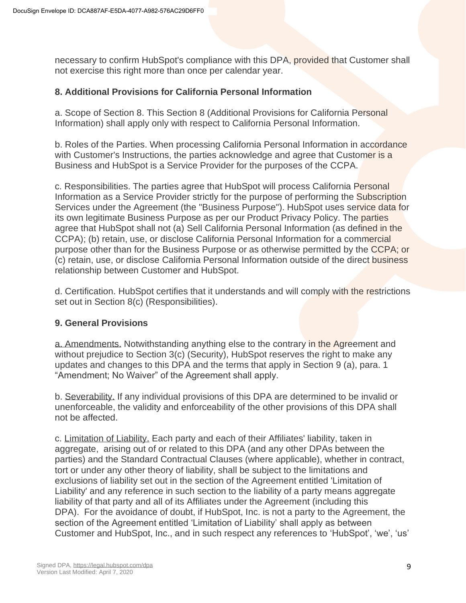necessary to confirm HubSpot's compliance with this DPA, provided that Customer shall not exercise this right more than once per calendar year.

# **8. Additional Provisions for California Personal Information**

a. Scope of Section 8. This Section 8 (Additional Provisions for California Personal Information) shall apply only with respect to California Personal Information.

b. Roles of the Parties. When processing California Personal Information in accordance with Customer's Instructions, the parties acknowledge and agree that Customer is a Business and HubSpot is a Service Provider for the purposes of the CCPA.

c. Responsibilities. The parties agree that HubSpot will process California Personal Information as a Service Provider strictly for the purpose of performing the Subscription Services under the Agreement (the "Business Purpose"). HubSpot uses service data for its own legitimate Business Purpose as per our Product Privacy Policy. The parties agree that HubSpot shall not (a) Sell California Personal Information (as defined in the CCPA); (b) retain, use, or disclose California Personal Information for a commercial purpose other than for the Business Purpose or as otherwise permitted by the CCPA; or (c) retain, use, or disclose California Personal Information outside of the direct business relationship between Customer and HubSpot.

d. Certification. HubSpot certifies that it understands and will comply with the restrictions set out in Section 8(c) (Responsibilities).

# **9. General Provisions**

a. Amendments. Notwithstanding anything else to the contrary in the Agreement and without prejudice to Section 3(c) (Security), HubSpot reserves the right to make any updates and changes to this DPA and the terms that apply in Section 9 (a), para. 1 "Amendment; No Waiver" of the Agreement shall apply.

b. Severability. If any individual provisions of this DPA are determined to be invalid or unenforceable, the validity and enforceability of the other provisions of this DPA shall not be affected.

c. Limitation of Liability. Each party and each of their Affiliates' liability, taken in aggregate, arising out of or related to this DPA (and any other DPAs between the parties) and the Standard Contractual Clauses (where applicable), whether in contract, tort or under any other theory of liability, shall be subject to the limitations and exclusions of liability set out in the section of the Agreement entitled 'Limitation of Liability' and any reference in such section to the liability of a party means aggregate liability of that party and all of its Affiliates under the Agreement (including this DPA). For the avoidance of doubt, if HubSpot, Inc. is not a party to the Agreement, the section of the Agreement entitled 'Limitation of Liability' shall apply as between Customer and HubSpot, Inc., and in such respect any references to 'HubSpot', 'we', 'us'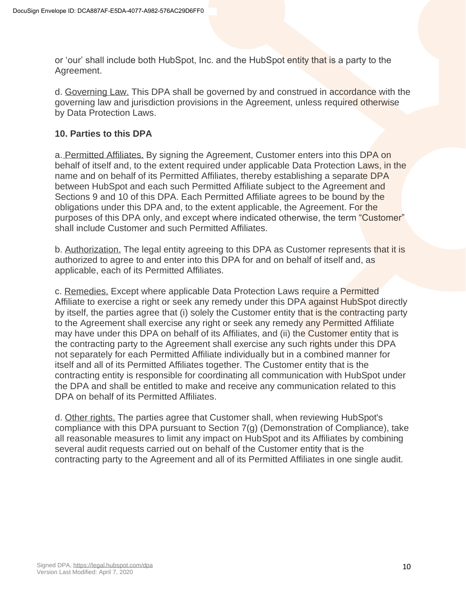or 'our' shall include both HubSpot, Inc. and the HubSpot entity that is a party to the Agreement.

d. Governing Law. This DPA shall be governed by and construed in accordance with the governing law and jurisdiction provisions in the Agreement, unless required otherwise by Data Protection Laws.

#### **10. Parties to this DPA**

a. Permitted Affiliates. By signing the Agreement, Customer enters into this DPA on behalf of itself and, to the extent required under applicable Data Protection Laws, in the name and on behalf of its Permitted Affiliates, thereby establishing a separate DPA between HubSpot and each such Permitted Affiliate subject to the Agreement and Sections 9 and 10 of this DPA. Each Permitted Affiliate agrees to be bound by the obligations under this DPA and, to the extent applicable, the Agreement. For the purposes of this DPA only, and except where indicated otherwise, the term "Customer" shall include Customer and such Permitted Affiliates.

b. Authorization. The legal entity agreeing to this DPA as Customer represents that it is authorized to agree to and enter into this DPA for and on behalf of itself and, as applicable, each of its Permitted Affiliates.

c. Remedies. Except where applicable Data Protection Laws require a Permitted Affiliate to exercise a right or seek any remedy under this DPA against HubSpot directly by itself, the parties agree that (i) solely the Customer entity that is the contracting party to the Agreement shall exercise any right or seek any remedy any Permitted Affiliate may have under this DPA on behalf of its Affiliates, and (ii) the Customer entity that is the contracting party to the Agreement shall exercise any such rights under this DPA not separately for each Permitted Affiliate individually but in a combined manner for itself and all of its Permitted Affiliates together. The Customer entity that is the contracting entity is responsible for coordinating all communication with HubSpot under the DPA and shall be entitled to make and receive any communication related to this DPA on behalf of its Permitted Affiliates.

d. Other rights. The parties agree that Customer shall, when reviewing HubSpot's compliance with this DPA pursuant to Section 7(g) (Demonstration of Compliance), take all reasonable measures to limit any impact on HubSpot and its Affiliates by combining several audit requests carried out on behalf of the Customer entity that is the contracting party to the Agreement and all of its Permitted Affiliates in one single audit.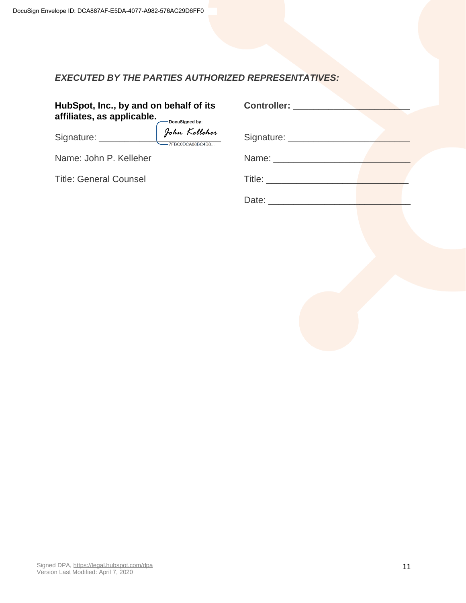# *EXECUTED BY THE PARTIES AUTHORIZED REPRESENTATIVES:*

| HubSpot, Inc., by and on behalf of its<br>affiliates, as applicable.<br>-DocuSigned by: | <b>Controller: Controller:</b>               |  |
|-----------------------------------------------------------------------------------------|----------------------------------------------|--|
|                                                                                         | Signature: View Management of the Signature: |  |
| Name: John P. Kelleher                                                                  |                                              |  |
| <b>Title: General Counsel</b>                                                           |                                              |  |
|                                                                                         |                                              |  |
|                                                                                         |                                              |  |
|                                                                                         |                                              |  |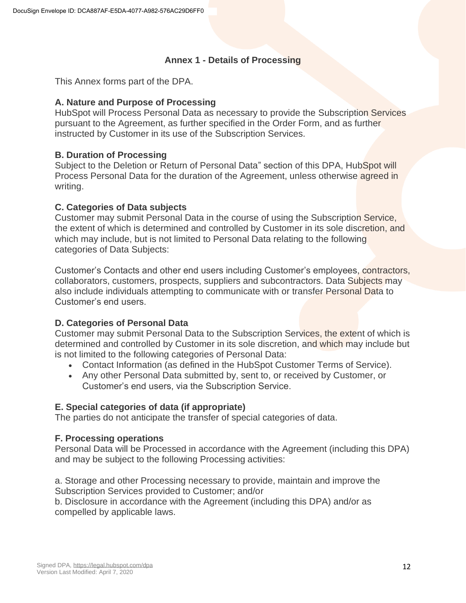#### **Annex 1 - Details of Processing**

This Annex forms part of the DPA.

# **A. Nature and Purpose of Processing**

HubSpot will Process Personal Data as necessary to provide the Subscription Services pursuant to the Agreement, as further specified in the Order Form, and as further instructed by Customer in its use of the Subscription Services.

#### **B. Duration of Processing**

Subject to the Deletion or Return of Personal Data" section of this DPA, HubSpot will Process Personal Data for the duration of the Agreement, unless otherwise agreed in writing.

#### **C. Categories of Data subjects**

Customer may submit Personal Data in the course of using the Subscription Service, the extent of which is determined and controlled by Customer in its sole discretion, and which may include, but is not limited to Personal Data relating to the following categories of Data Subjects:

Customer's Contacts and other end users including Customer's employees, contractors, collaborators, customers, prospects, suppliers and subcontractors. Data Subjects may also include individuals attempting to communicate with or transfer Personal Data to Customer's end users.

# **D. Categories of Personal Data**

Customer may submit Personal Data to the Subscription Services, the extent of which is determined and controlled by Customer in its sole discretion, and which may include but is not limited to the following categories of Personal Data:

- Contact Information (as defined in the HubSpot Customer Terms of Service).
- Any other Personal Data submitted by, sent to, or received by Customer, or Customer's end users, via the Subscription Service.

# **E. Special categories of data (if appropriate)**

The parties do not anticipate the transfer of special categories of data.

#### **F. Processing operations**

Personal Data will be Processed in accordance with the Agreement (including this DPA) and may be subject to the following Processing activities:

a. Storage and other Processing necessary to provide, maintain and improve the Subscription Services provided to Customer; and/or

b. Disclosure in accordance with the Agreement (including this DPA) and/or as compelled by applicable laws.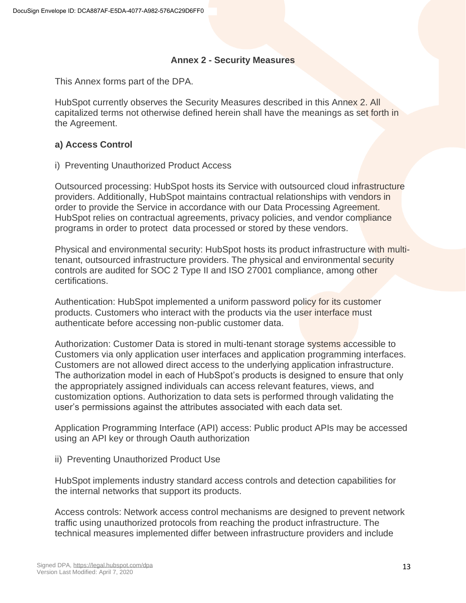#### **Annex 2 - Security Measures**

This Annex forms part of the DPA.

HubSpot currently observes the Security Measures described in this Annex 2. All capitalized terms not otherwise defined herein shall have the meanings as set forth in the Agreement.

# **a) Access Control**

#### i) Preventing Unauthorized Product Access

Outsourced processing: HubSpot hosts its Service with outsourced cloud infrastructure providers. Additionally, HubSpot maintains contractual relationships with vendors in order to provide the Service in accordance with our Data Processing Agreement. HubSpot relies on contractual agreements, privacy policies, and vendor compliance programs in order to protect data processed or stored by these vendors.

Physical and environmental security: HubSpot hosts its product infrastructure with multitenant, outsourced infrastructure providers. The physical and environmental security controls are audited for SOC 2 Type II and ISO 27001 compliance, among other certifications.

Authentication: HubSpot implemented a uniform password policy for its customer products. Customers who interact with the products via the user interface must authenticate before accessing non-public customer data.

Authorization: Customer Data is stored in multi-tenant storage systems accessible to Customers via only application user interfaces and application programming interfaces. Customers are not allowed direct access to the underlying application infrastructure. The authorization model in each of HubSpot's products is designed to ensure that only the appropriately assigned individuals can access relevant features, views, and customization options. Authorization to data sets is performed through validating the user's permissions against the attributes associated with each data set.

Application Programming Interface (API) access: Public product APIs may be accessed using an API key or through Oauth authorization

ii) Preventing Unauthorized Product Use

HubSpot implements industry standard access controls and detection capabilities for the internal networks that support its products.

Access controls: Network access control mechanisms are designed to prevent network traffic using unauthorized protocols from reaching the product infrastructure. The technical measures implemented differ between infrastructure providers and include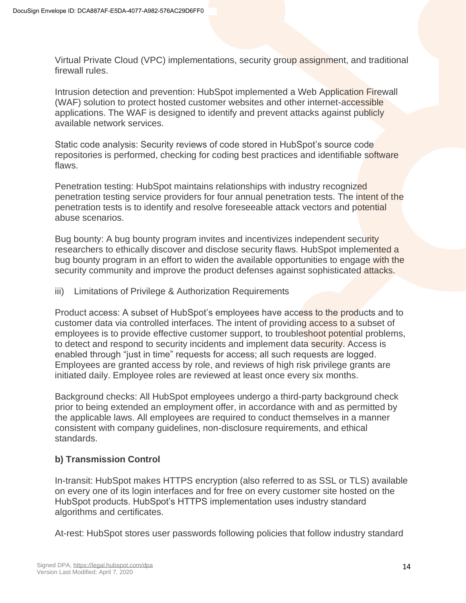Virtual Private Cloud (VPC) implementations, security group assignment, and traditional firewall rules.

Intrusion detection and prevention: HubSpot implemented a Web Application Firewall (WAF) solution to protect hosted customer websites and other internet-accessible applications. The WAF is designed to identify and prevent attacks against publicly available network services.

Static code analysis: Security reviews of code stored in HubSpot's source code repositories is performed, checking for coding best practices and identifiable software flaws.

Penetration testing: HubSpot maintains relationships with industry recognized penetration testing service providers for four annual penetration tests. The intent of the penetration tests is to identify and resolve foreseeable attack vectors and potential abuse scenarios.

Bug bounty: A bug bounty program invites and incentivizes independent security researchers to ethically discover and disclose security flaws. HubSpot implemented a bug bounty program in an effort to widen the available opportunities to engage with the security community and improve the product defenses against sophisticated attacks.

iii) Limitations of Privilege & Authorization Requirements

Product access: A subset of HubSpot's employees have access to the products and to customer data via controlled interfaces. The intent of providing access to a subset of employees is to provide effective customer support, to troubleshoot potential problems, to detect and respond to security incidents and implement data security. Access is enabled through "just in time" requests for access; all such requests are logged. Employees are granted access by role, and reviews of high risk privilege grants are initiated daily. Employee roles are reviewed at least once every six months.

Background checks: All HubSpot employees undergo a third-party background check prior to being extended an employment offer, in accordance with and as permitted by the applicable laws. All employees are required to conduct themselves in a manner consistent with company guidelines, non-disclosure requirements, and ethical standards.

# **b) Transmission Control**

In-transit: HubSpot makes HTTPS encryption (also referred to as SSL or TLS) available on every one of its login interfaces and for free on every customer site hosted on the HubSpot products. HubSpot's HTTPS implementation uses industry standard algorithms and certificates.

At-rest: HubSpot stores user passwords following policies that follow industry standard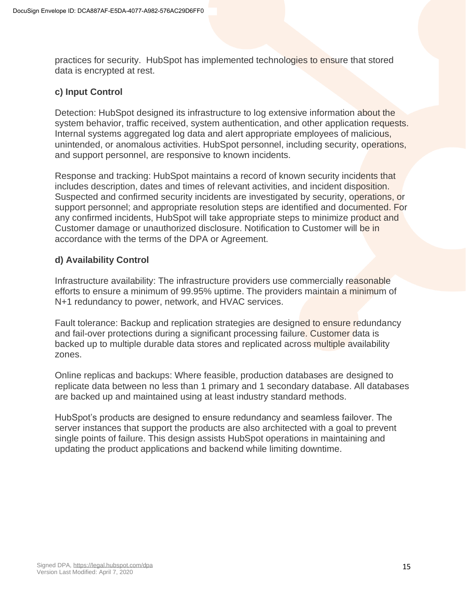practices for security. HubSpot has implemented technologies to ensure that stored data is encrypted at rest.

#### **c) Input Control**

Detection: HubSpot designed its infrastructure to log extensive information about the system behavior, traffic received, system authentication, and other application requests. Internal systems aggregated log data and alert appropriate employees of malicious, unintended, or anomalous activities. HubSpot personnel, including security, operations, and support personnel, are responsive to known incidents.

Response and tracking: HubSpot maintains a record of known security incidents that includes description, dates and times of relevant activities, and incident disposition. Suspected and confirmed security incidents are investigated by security, operations, or support personnel; and appropriate resolution steps are identified and documented. For any confirmed incidents, HubSpot will take appropriate steps to minimize product and Customer damage or unauthorized disclosure. Notification to Customer will be in accordance with the terms of the DPA or Agreement.

# **d) Availability Control**

Infrastructure availability: The infrastructure providers use commercially reasonable efforts to ensure a minimum of 99.95% uptime. The providers maintain a minimum of N+1 redundancy to power, network, and HVAC services.

Fault tolerance: Backup and replication strategies are designed to ensure redundancy and fail-over protections during a significant processing failure. Customer data is backed up to multiple durable data stores and replicated across multiple availability zones.

Online replicas and backups: Where feasible, production databases are designed to replicate data between no less than 1 primary and 1 secondary database. All databases are backed up and maintained using at least industry standard methods.

HubSpot's products are designed to ensure redundancy and seamless failover. The server instances that support the products are also architected with a goal to prevent single points of failure. This design assists HubSpot operations in maintaining and updating the product applications and backend while limiting downtime.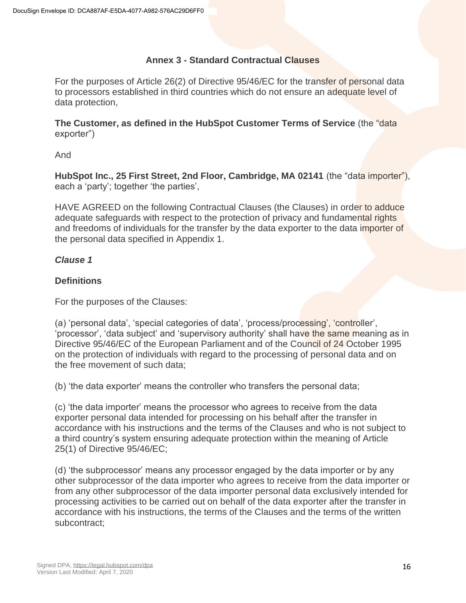# **Annex 3 - Standard Contractual Clauses**

For the purposes of Article 26(2) of Directive 95/46/EC for the transfer of personal data to processors established in third countries which do not ensure an adequate level of data protection,

**The Customer, as defined in the HubSpot Customer Terms of Service** (the "data exporter")

And

**HubSpot Inc., 25 First Street, 2nd Floor, Cambridge, MA 02141** (the "data importer"), each a 'party'; together 'the parties',

HAVE AGREED on the following Contractual Clauses (the Clauses) in order to adduce adequate safeguards with respect to the protection of privacy and fundamental rights and freedoms of individuals for the transfer by the data exporter to the data importer of the personal data specified in Appendix 1.

# *Clause 1*

# **Definitions**

For the purposes of the Clauses:

(a) 'personal data', 'special categories of data', 'process/processing', 'controller', 'processor', 'data subject' and 'supervisory authority' shall have the same meaning as in Directive 95/46/EC of the European Parliament and of the Council of 24 October 1995 on the protection of individuals with regard to the processing of personal data and on the free movement of such data;

(b) 'the data exporter' means the controller who transfers the personal data;

(c) 'the data importer' means the processor who agrees to receive from the data exporter personal data intended for processing on his behalf after the transfer in accordance with his instructions and the terms of the Clauses and who is not subject to a third country's system ensuring adequate protection within the meaning of Article 25(1) of Directive 95/46/EC;

(d) 'the subprocessor' means any processor engaged by the data importer or by any other subprocessor of the data importer who agrees to receive from the data importer or from any other subprocessor of the data importer personal data exclusively intended for processing activities to be carried out on behalf of the data exporter after the transfer in accordance with his instructions, the terms of the Clauses and the terms of the written subcontract;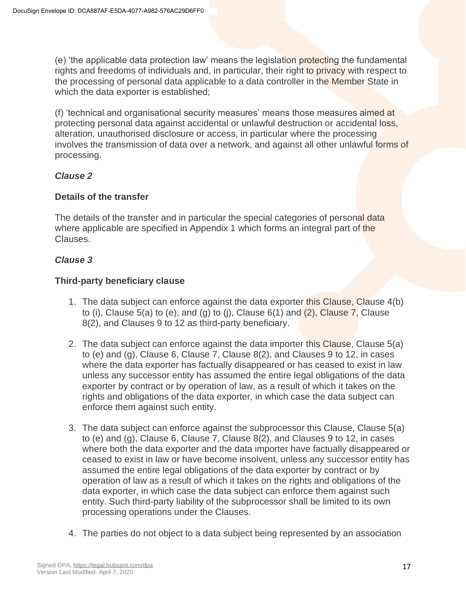(e) 'the applicable data protection law' means the legislation protecting the fundamental rights and freedoms of individuals and, in particular, their right to privacy with respect to the processing of personal data applicable to a data controller in the Member State in which the data exporter is established;

(f) 'technical and organisational security measures' means those measures aimed at protecting personal data against accidental or unlawful destruction or accidental loss, alteration, unauthorised disclosure or access, in particular where the processing involves the transmission of data over a network, and against all other unlawful forms of processing.

#### *Clause 2*

#### **Details of the transfer**

The details of the transfer and in particular the special categories of personal data where applicable are specified in Appendix 1 which forms an integral part of the Clauses.

# *Clause 3*

#### **Third-party beneficiary clause**

- 1. The data subject can enforce against the data exporter this Clause, Clause 4(b) to (i), Clause  $5(a)$  to (e), and (g) to (i), Clause  $6(1)$  and  $(2)$ , Clause 7, Clause 8(2), and Clauses 9 to 12 as third-party beneficiary.
- 2. The data subject can enforce against the data importer this Clause, Clause 5(a) to (e) and (g), Clause 6, Clause 7, Clause 8(2), and Clauses 9 to 12, in cases where the data exporter has factually disappeared or has ceased to exist in law unless any successor entity has assumed the entire legal obligations of the data exporter by contract or by operation of law, as a result of which it takes on the rights and obligations of the data exporter, in which case the data subject can enforce them against such entity.
- 3. The data subject can enforce against the subprocessor this Clause, Clause 5(a) to (e) and (g), Clause 6, Clause 7, Clause 8(2), and Clauses 9 to 12, in cases where both the data exporter and the data importer have factually disappeared or ceased to exist in law or have become insolvent, unless any successor entity has assumed the entire legal obligations of the data exporter by contract or by operation of law as a result of which it takes on the rights and obligations of the data exporter, in which case the data subject can enforce them against such entity. Such third-party liability of the subprocessor shall be limited to its own processing operations under the Clauses.
- 4. The parties do not object to a data subject being represented by an association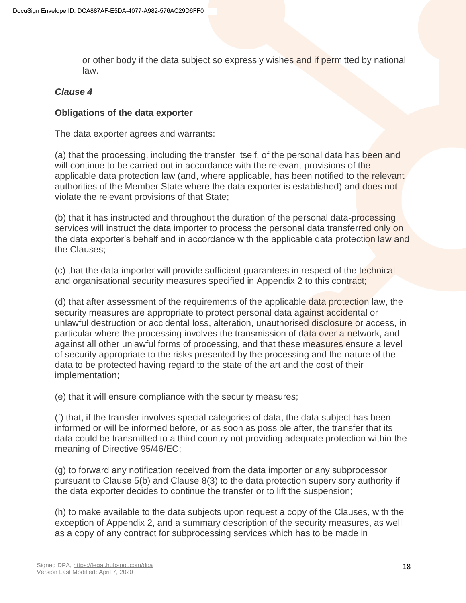or other body if the data subject so expressly wishes and if permitted by national law.

#### *Clause 4*

#### **Obligations of the data exporter**

The data exporter agrees and warrants:

(a) that the processing, including the transfer itself, of the personal data has been and will continue to be carried out in accordance with the relevant provisions of the applicable data protection law (and, where applicable, has been notified to the relevant authorities of the Member State where the data exporter is established) and does not violate the relevant provisions of that State;

(b) that it has instructed and throughout the duration of the personal data-processing services will instruct the data importer to process the personal data transferred only on the data exporter's behalf and in accordance with the applicable data protection law and the Clauses;

(c) that the data importer will provide sufficient guarantees in respect of the technical and organisational security measures specified in Appendix 2 to this contract;

(d) that after assessment of the requirements of the applicable data protection law, the security measures are appropriate to protect personal data against accidental or unlawful destruction or accidental loss, alteration, unauthorised disclosure or access, in particular where the processing involves the transmission of data over a network, and against all other unlawful forms of processing, and that these measures ensure a level of security appropriate to the risks presented by the processing and the nature of the data to be protected having regard to the state of the art and the cost of their implementation;

(e) that it will ensure compliance with the security measures;

(f) that, if the transfer involves special categories of data, the data subject has been informed or will be informed before, or as soon as possible after, the transfer that its data could be transmitted to a third country not providing adequate protection within the meaning of Directive 95/46/EC;

(g) to forward any notification received from the data importer or any subprocessor pursuant to Clause 5(b) and Clause 8(3) to the data protection supervisory authority if the data exporter decides to continue the transfer or to lift the suspension;

(h) to make available to the data subjects upon request a copy of the Clauses, with the exception of Appendix 2, and a summary description of the security measures, as well as a copy of any contract for subprocessing services which has to be made in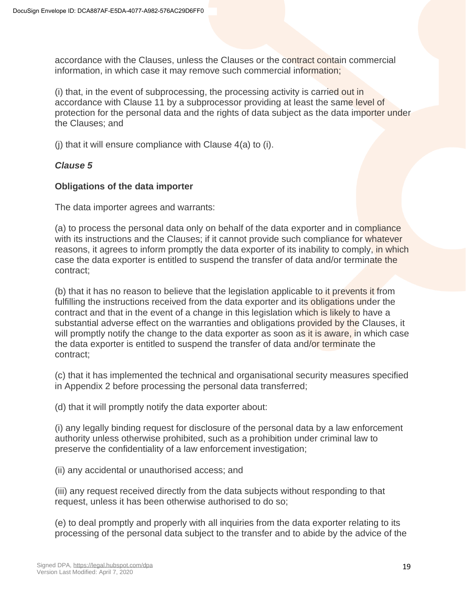accordance with the Clauses, unless the Clauses or the contract contain commercial information, in which case it may remove such commercial information;

(i) that, in the event of subprocessing, the processing activity is carried out in accordance with Clause 11 by a subprocessor providing at least the same level of protection for the personal data and the rights of data subject as the data importer under the Clauses; and

(j) that it will ensure compliance with Clause 4(a) to (i).

#### *Clause 5*

#### **Obligations of the data importer**

The data importer agrees and warrants:

(a) to process the personal data only on behalf of the data exporter and in compliance with its instructions and the Clauses; if it cannot provide such compliance for whatever reasons, it agrees to inform promptly the data exporter of its inability to comply, in which case the data exporter is entitled to suspend the transfer of data and/or terminate the contract;

(b) that it has no reason to believe that the legislation applicable to it prevents it from fulfilling the instructions received from the data exporter and its obligations under the contract and that in the event of a change in this legislation which is likely to have a substantial adverse effect on the warranties and obligations provided by the Clauses, it will promptly notify the change to the data exporter as soon as it is aware, in which case the data exporter is entitled to suspend the transfer of data and/or terminate the contract;

(c) that it has implemented the technical and organisational security measures specified in Appendix 2 before processing the personal data transferred;

(d) that it will promptly notify the data exporter about:

(i) any legally binding request for disclosure of the personal data by a law enforcement authority unless otherwise prohibited, such as a prohibition under criminal law to preserve the confidentiality of a law enforcement investigation;

(ii) any accidental or unauthorised access; and

(iii) any request received directly from the data subjects without responding to that request, unless it has been otherwise authorised to do so;

(e) to deal promptly and properly with all inquiries from the data exporter relating to its processing of the personal data subject to the transfer and to abide by the advice of the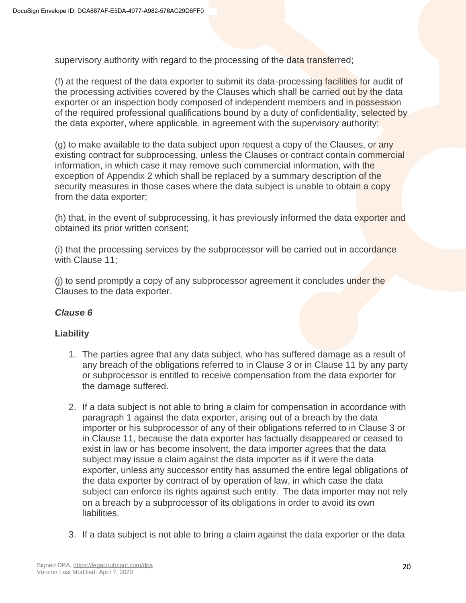supervisory authority with regard to the processing of the data transferred;

(f) at the request of the data exporter to submit its data-processing facilities for audit of the processing activities covered by the Clauses which shall be carried out by the data exporter or an inspection body composed of independent members and in possession of the required professional qualifications bound by a duty of confidentiality, selected by the data exporter, where applicable, in agreement with the supervisory authority;

(g) to make available to the data subject upon request a copy of the Clauses, or any existing contract for subprocessing, unless the Clauses or contract contain commercial information, in which case it may remove such commercial information, with the exception of Appendix 2 which shall be replaced by a summary description of the security measures in those cases where the data subject is unable to obtain a copy from the data exporter;

(h) that, in the event of subprocessing, it has previously informed the data exporter and obtained its prior written consent;

(i) that the processing services by the subprocessor will be carried out in accordance with Clause 11;

(j) to send promptly a copy of any subprocessor agreement it concludes under the Clauses to the data exporter.

# *Clause 6*

#### **Liability**

- 1. The parties agree that any data subject, who has suffered damage as a result of any breach of the obligations referred to in Clause 3 or in Clause 11 by any party or subprocessor is entitled to receive compensation from the data exporter for the damage suffered.
- 2. If a data subject is not able to bring a claim for compensation in accordance with paragraph 1 against the data exporter, arising out of a breach by the data importer or his subprocessor of any of their obligations referred to in Clause 3 or in Clause 11, because the data exporter has factually disappeared or ceased to exist in law or has become insolvent, the data importer agrees that the data subject may issue a claim against the data importer as if it were the data exporter, unless any successor entity has assumed the entire legal obligations of the data exporter by contract of by operation of law, in which case the data subject can enforce its rights against such entity. The data importer may not rely on a breach by a subprocessor of its obligations in order to avoid its own liabilities.
- 3. If a data subject is not able to bring a claim against the data exporter or the data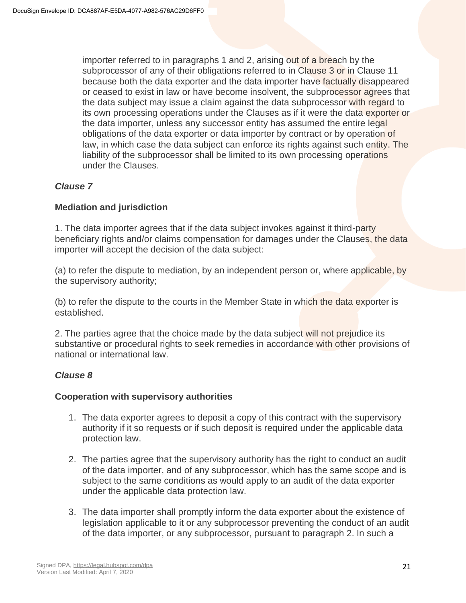importer referred to in paragraphs 1 and 2, arising out of a breach by the subprocessor of any of their obligations referred to in Clause 3 or in Clause 11 because both the data exporter and the data importer have factually disappeared or ceased to exist in law or have become insolvent, the subprocessor agrees that the data subject may issue a claim against the data subprocessor with regard to its own processing operations under the Clauses as if it were the data exporter or the data importer, unless any successor entity has assumed the entire legal obligations of the data exporter or data importer by contract or by operation of law, in which case the data subject can enforce its rights against such entity. The liability of the subprocessor shall be limited to its own processing operations under the Clauses.

# *Clause 7*

# **Mediation and jurisdiction**

1. The data importer agrees that if the data subject invokes against it third-party beneficiary rights and/or claims compensation for damages under the Clauses, the data importer will accept the decision of the data subject:

(a) to refer the dispute to mediation, by an independent person or, where applicable, by the supervisory authority;

(b) to refer the dispute to the courts in the Member State in which the data exporter is established.

2. The parties agree that the choice made by the data subject will not prejudice its substantive or procedural rights to seek remedies in accordance with other provisions of national or international law.

# *Clause 8*

#### **Cooperation with supervisory authorities**

- 1. The data exporter agrees to deposit a copy of this contract with the supervisory authority if it so requests or if such deposit is required under the applicable data protection law.
- 2. The parties agree that the supervisory authority has the right to conduct an audit of the data importer, and of any subprocessor, which has the same scope and is subject to the same conditions as would apply to an audit of the data exporter under the applicable data protection law.
- 3. The data importer shall promptly inform the data exporter about the existence of legislation applicable to it or any subprocessor preventing the conduct of an audit of the data importer, or any subprocessor, pursuant to paragraph 2. In such a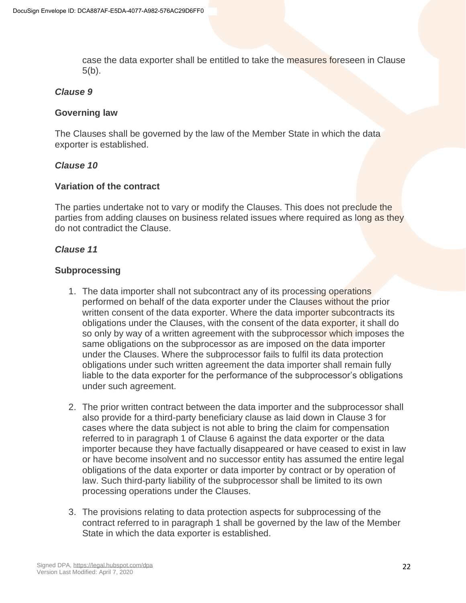case the data exporter shall be entitled to take the measures foreseen in Clause 5(b).

#### *Clause 9*

#### **Governing law**

The Clauses shall be governed by the law of the Member State in which the data exporter is established.

#### *Clause 10*

# **Variation of the contract**

The parties undertake not to vary or modify the Clauses. This does not preclude the parties from adding clauses on business related issues where required as long as they do not contradict the Clause.

#### *Clause 11*

#### **Subprocessing**

- 1. The data importer shall not subcontract any of its processing operations performed on behalf of the data exporter under the Clauses without the prior written consent of the data exporter. Where the data importer subcontracts its obligations under the Clauses, with the consent of the data exporter, it shall do so only by way of a written agreement with the subprocessor which imposes the same obligations on the subprocessor as are imposed on the data importer under the Clauses. Where the subprocessor fails to fulfil its data protection obligations under such written agreement the data importer shall remain fully liable to the data exporter for the performance of the subprocessor's obligations under such agreement.
- 2. The prior written contract between the data importer and the subprocessor shall also provide for a third-party beneficiary clause as laid down in Clause 3 for cases where the data subject is not able to bring the claim for compensation referred to in paragraph 1 of Clause 6 against the data exporter or the data importer because they have factually disappeared or have ceased to exist in law or have become insolvent and no successor entity has assumed the entire legal obligations of the data exporter or data importer by contract or by operation of law. Such third-party liability of the subprocessor shall be limited to its own processing operations under the Clauses.
- 3. The provisions relating to data protection aspects for subprocessing of the contract referred to in paragraph 1 shall be governed by the law of the Member State in which the data exporter is established.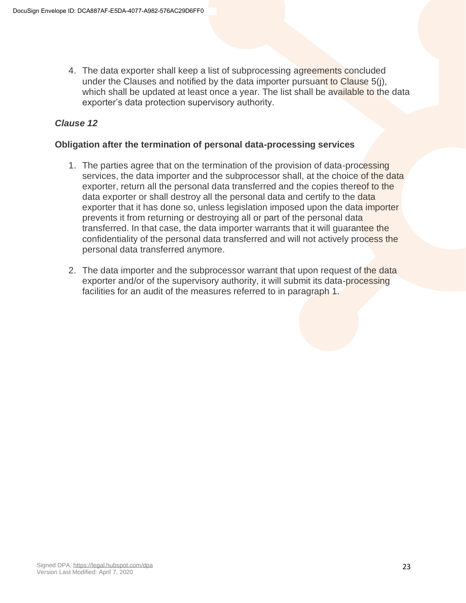4. The data exporter shall keep a list of subprocessing agreements concluded under the Clauses and notified by the data importer pursuant to Clause 5(j), which shall be updated at least once a year. The list shall be available to the data exporter's data protection supervisory authority.

# *Clause 12*

#### **Obligation after the termination of personal data-processing services**

- 1. The parties agree that on the termination of the provision of data-processing services, the data importer and the subprocessor shall, at the choice of the data exporter, return all the personal data transferred and the copies thereof to the data exporter or shall destroy all the personal data and certify to the data exporter that it has done so, unless legislation imposed upon the data importer prevents it from returning or destroying all or part of the personal data transferred. In that case, the data importer warrants that it will guarantee the confidentiality of the personal data transferred and will not actively process the personal data transferred anymore.
- 2. The data importer and the subprocessor warrant that upon request of the data exporter and/or of the supervisory authority, it will submit its data-processing facilities for an audit of the measures referred to in paragraph 1.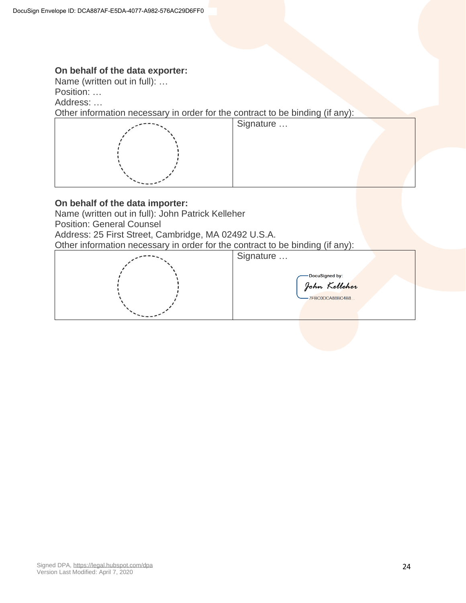# **On behalf of the data exporter:**

Name (written out in full): …

Position: …

Address: …

Other information necessary in order for the contract to be binding (if any):



Signature …

# **On behalf of the data importer:**

Name (written out in full): John Patrick Kelleher Position: General Counsel Address: 25 First Street, Cambridge, MA 02492 U.S.A. Other information necessary in order for the contract to be binding (if any):



DocuSigned by: John Kelleher 7FBC0DCA88BC4B8.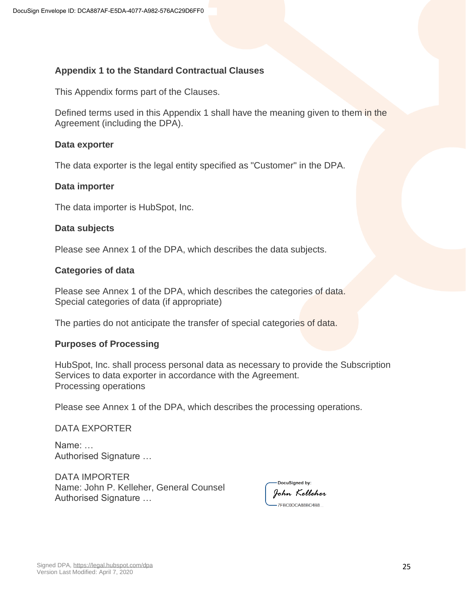# **Appendix 1 to the Standard Contractual Clauses**

This Appendix forms part of the Clauses.

Defined terms used in this Appendix 1 shall have the meaning given to them in the Agreement (including the DPA).

#### **Data exporter**

The data exporter is the legal entity specified as "Customer" in the DPA.

#### **Data importer**

The data importer is HubSpot, Inc.

#### **Data subjects**

Please see Annex 1 of the DPA, which describes the data subjects.

#### **Categories of data**

Please see Annex 1 of the DPA, which describes the categories of data. Special categories of data (if appropriate)

The parties do not anticipate the transfer of special categories of data.

#### **Purposes of Processing**

HubSpot, Inc. shall process personal data as necessary to provide the Subscription Services to data exporter in accordance with the Agreement. Processing operations

Please see Annex 1 of the DPA, which describes the processing operations.

DATA EXPORTER

Name: … Authorised Signature …

DATA IMPORTER Name: John P. Kelleher, General Counsel Authorised Signature …

DocuSigned by: John Kelleher 7FBC0DCA88BC4B8..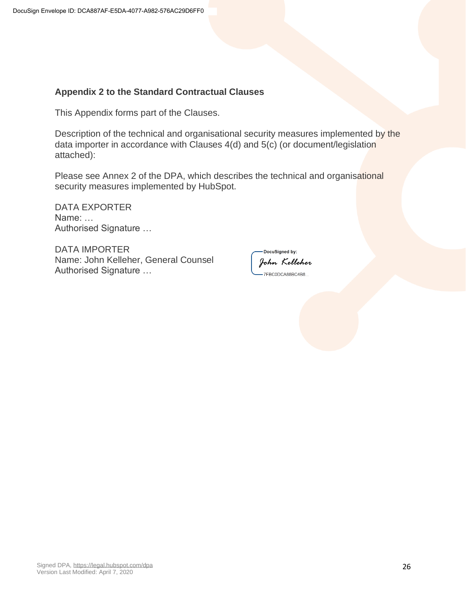# **Appendix 2 to the Standard Contractual Clauses**

This Appendix forms part of the Clauses.

Description of the technical and organisational security measures implemented by the data importer in accordance with Clauses 4(d) and 5(c) (or document/legislation attached):

Please see Annex 2 of the DPA, which describes the technical and organisational security measures implemented by HubSpot.

DATA EXPORTER Name: … Authorised Signature …

DATA IMPORTER Name: John Kelleher, General Counsel Authorised Signature …

DocuSigned by: John Kelleher 7FBC0DCA88BC4B8.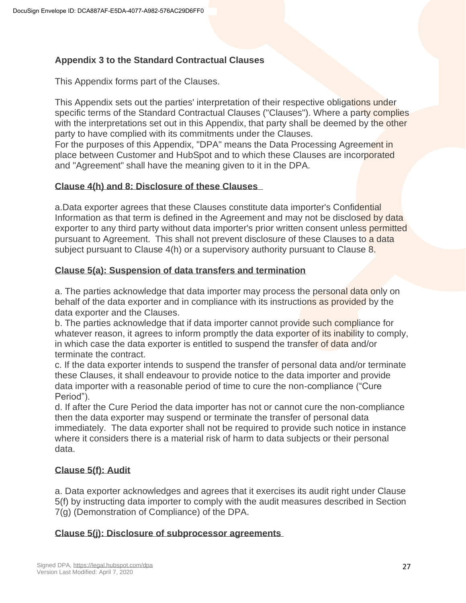# **Appendix 3 to the Standard Contractual Clauses**

This Appendix forms part of the Clauses.

This Appendix sets out the parties' interpretation of their respective obligations under specific terms of the Standard Contractual Clauses ("Clauses"). Where a party complies with the interpretations set out in this Appendix, that party shall be deemed by the other party to have complied with its commitments under the Clauses.

For the purposes of this Appendix, "DPA" means the Data Processing Agreement in place between Customer and HubSpot and to which these Clauses are incorporated and "Agreement" shall have the meaning given to it in the DPA.

# **Clause 4(h) and 8: Disclosure of these Clauses**

a.Data exporter agrees that these Clauses constitute data importer's Confidential Information as that term is defined in the Agreement and may not be disclosed by data exporter to any third party without data importer's prior written consent unless permitted pursuant to Agreement. This shall not prevent disclosure of these Clauses to a data subject pursuant to Clause 4(h) or a supervisory authority pursuant to Clause 8.

#### **Clause 5(a): Suspension of data transfers and termination**

a. The parties acknowledge that data importer may process the personal data only on behalf of the data exporter and in compliance with its instructions as provided by the data exporter and the Clauses.

b. The parties acknowledge that if data importer cannot provide such compliance for whatever reason, it agrees to inform promptly the data exporter of its inability to comply, in which case the data exporter is entitled to suspend the transfer of data and/or terminate the contract.

c. If the data exporter intends to suspend the transfer of personal data and/or terminate these Clauses, it shall endeavour to provide notice to the data importer and provide data importer with a reasonable period of time to cure the non-compliance ("Cure Period").

d. If after the Cure Period the data importer has not or cannot cure the non-compliance then the data exporter may suspend or terminate the transfer of personal data immediately. The data exporter shall not be required to provide such notice in instance where it considers there is a material risk of harm to data subjects or their personal data.

# **Clause 5(f): Audit**

a. Data exporter acknowledges and agrees that it exercises its audit right under Clause 5(f) by instructing data importer to comply with the audit measures described in Section 7(g) (Demonstration of Compliance) of the DPA.

# **Clause 5(j): Disclosure of subprocessor agreements**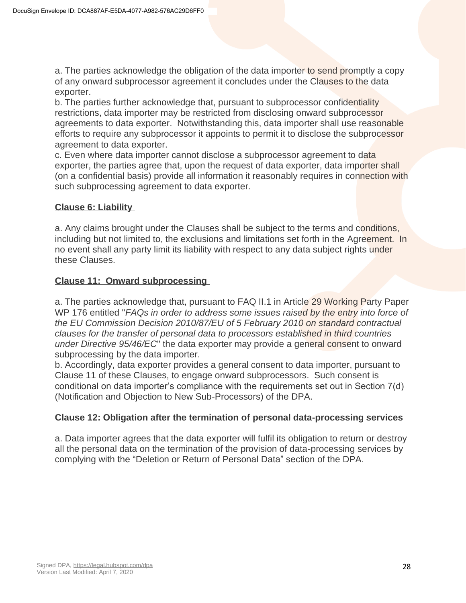a. The parties acknowledge the obligation of the data importer to send promptly a copy of any onward subprocessor agreement it concludes under the Clauses to the data exporter.

b. The parties further acknowledge that, pursuant to subprocessor confidentiality restrictions, data importer may be restricted from disclosing onward subprocessor agreements to data exporter. Notwithstanding this, data importer shall use reasonable efforts to require any subprocessor it appoints to permit it to disclose the subprocessor agreement to data exporter.

c. Even where data importer cannot disclose a subprocessor agreement to data exporter, the parties agree that, upon the request of data exporter, data importer shall (on a confidential basis) provide all information it reasonably requires in connection with such subprocessing agreement to data exporter.

#### **Clause 6: Liability**

a. Any claims brought under the Clauses shall be subject to the terms and conditions, including but not limited to, the exclusions and limitations set forth in the Agreement. In no event shall any party limit its liability with respect to any data subject rights under these Clauses.

#### **Clause 11: Onward subprocessing**

a. The parties acknowledge that, pursuant to FAQ II.1 in Article 29 Working Party Paper WP 176 entitled "*FAQs in order to address some issues raised by the entry into force of the EU Commission Decision 2010/87/EU of 5 February 2010 on standard contractual clauses for the transfer of personal data to processors established in third countries under Directive 95/46/EC*" the data exporter may provide a general consent to onward subprocessing by the data importer.

b. Accordingly, data exporter provides a general consent to data importer, pursuant to Clause 11 of these Clauses, to engage onward subprocessors. Such consent is conditional on data importer's compliance with the requirements set out in Section 7(d) (Notification and Objection to New Sub-Processors) of the DPA.

#### **Clause 12: Obligation after the termination of personal data-processing services**

a. Data importer agrees that the data exporter will fulfil its obligation to return or destroy all the personal data on the termination of the provision of data-processing services by complying with the "Deletion or Return of Personal Data" section of the DPA.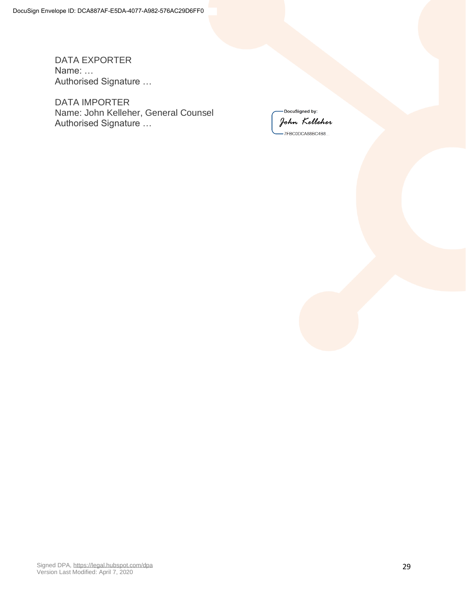DATA EXPORTER Name: … Authorised Signature …

DATA IMPORTER Name: John Kelleher, General Counsel Authorised Signature …

-DocuSigned by: John Kelleher 7FBC0DCA88BC4B8...